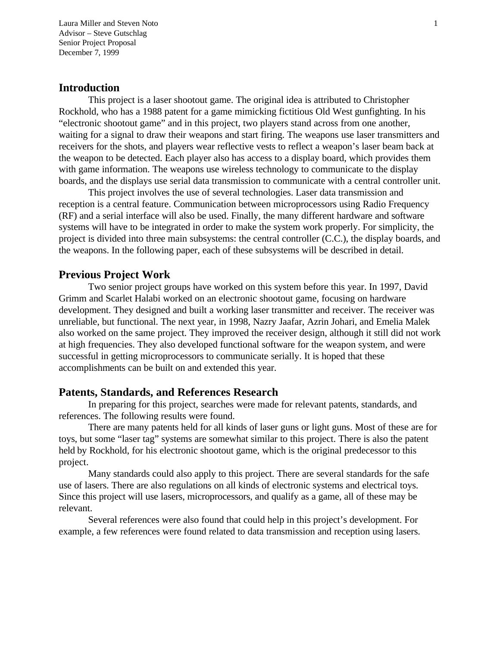Laura Miller and Steven Noto 1 Advisor – Steve Gutschlag Senior Project Proposal December 7, 1999

### **Introduction**

This project is a laser shootout game. The original idea is attributed to Christopher Rockhold, who has a 1988 patent for a game mimicking fictitious Old West gunfighting. In his "electronic shootout game" and in this project, two players stand across from one another, waiting for a signal to draw their weapons and start firing. The weapons use laser transmitters and receivers for the shots, and players wear reflective vests to reflect a weapon's laser beam back at the weapon to be detected. Each player also has access to a display board, which provides them with game information. The weapons use wireless technology to communicate to the display boards, and the displays use serial data transmission to communicate with a central controller unit.

This project involves the use of several technologies. Laser data transmission and reception is a central feature. Communication between microprocessors using Radio Frequency (RF) and a serial interface will also be used. Finally, the many different hardware and software systems will have to be integrated in order to make the system work properly. For simplicity, the project is divided into three main subsystems: the central controller (C.C.), the display boards, and the weapons. In the following paper, each of these subsystems will be described in detail.

### **Previous Project Work**

Two senior project groups have worked on this system before this year. In 1997, David Grimm and Scarlet Halabi worked on an electronic shootout game, focusing on hardware development. They designed and built a working laser transmitter and receiver. The receiver was unreliable, but functional. The next year, in 1998, Nazry Jaafar, Azrin Johari, and Emelia Malek also worked on the same project. They improved the receiver design, although it still did not work at high frequencies. They also developed functional software for the weapon system, and were successful in getting microprocessors to communicate serially. It is hoped that these accomplishments can be built on and extended this year.

### **Patents, Standards, and References Research**

In preparing for this project, searches were made for relevant patents, standards, and references. The following results were found.

There are many patents held for all kinds of laser guns or light guns. Most of these are for toys, but some "laser tag" systems are somewhat similar to this project. There is also the patent held by Rockhold, for his electronic shootout game, which is the original predecessor to this project.

Many standards could also apply to this project. There are several standards for the safe use of lasers. There are also regulations on all kinds of electronic systems and electrical toys. Since this project will use lasers, microprocessors, and qualify as a game, all of these may be relevant.

Several references were also found that could help in this project's development. For example, a few references were found related to data transmission and reception using lasers.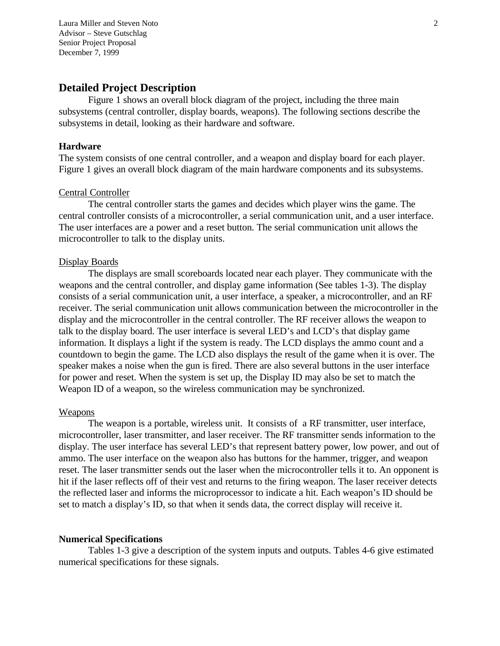Laura Miller and Steven Noto 2 Advisor – Steve Gutschlag Senior Project Proposal December 7, 1999

### **Detailed Project Description**

Figure 1 shows an overall block diagram of the project, including the three main subsystems (central controller, display boards, weapons). The following sections describe the subsystems in detail, looking as their hardware and software.

#### **Hardware**

The system consists of one central controller, and a weapon and display board for each player. Figure 1 gives an overall block diagram of the main hardware components and its subsystems.

#### Central Controller

The central controller starts the games and decides which player wins the game. The central controller consists of a microcontroller, a serial communication unit, and a user interface. The user interfaces are a power and a reset button. The serial communication unit allows the microcontroller to talk to the display units.

#### Display Boards

The displays are small scoreboards located near each player. They communicate with the weapons and the central controller, and display game information (See tables 1-3). The display consists of a serial communication unit, a user interface, a speaker, a microcontroller, and an RF receiver. The serial communication unit allows communication between the microcontroller in the display and the microcontroller in the central controller. The RF receiver allows the weapon to talk to the display board. The user interface is several LED's and LCD's that display game information. It displays a light if the system is ready. The LCD displays the ammo count and a countdown to begin the game. The LCD also displays the result of the game when it is over. The speaker makes a noise when the gun is fired. There are also several buttons in the user interface for power and reset. When the system is set up, the Display ID may also be set to match the Weapon ID of a weapon, so the wireless communication may be synchronized.

#### Weapons

The weapon is a portable, wireless unit. It consists of a RF transmitter, user interface, microcontroller, laser transmitter, and laser receiver. The RF transmitter sends information to the display. The user interface has several LED's that represent battery power, low power, and out of ammo. The user interface on the weapon also has buttons for the hammer, trigger, and weapon reset. The laser transmitter sends out the laser when the microcontroller tells it to. An opponent is hit if the laser reflects off of their vest and returns to the firing weapon. The laser receiver detects the reflected laser and informs the microprocessor to indicate a hit. Each weapon's ID should be set to match a display's ID, so that when it sends data, the correct display will receive it.

#### **Numerical Specifications**

Tables 1-3 give a description of the system inputs and outputs. Tables 4-6 give estimated numerical specifications for these signals.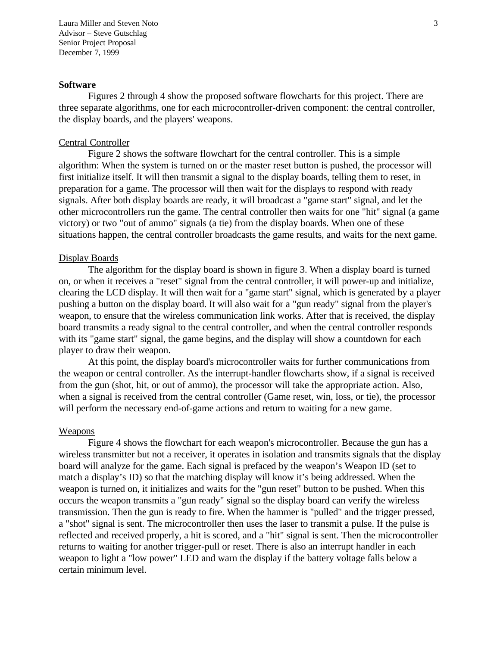Laura Miller and Steven Noto 3 Advisor – Steve Gutschlag Senior Project Proposal December 7, 1999

#### **Software**

Figures 2 through 4 show the proposed software flowcharts for this project. There are three separate algorithms, one for each microcontroller-driven component: the central controller, the display boards, and the players' weapons.

#### Central Controller

Figure 2 shows the software flowchart for the central controller. This is a simple algorithm: When the system is turned on or the master reset button is pushed, the processor will first initialize itself. It will then transmit a signal to the display boards, telling them to reset, in preparation for a game. The processor will then wait for the displays to respond with ready signals. After both display boards are ready, it will broadcast a "game start" signal, and let the other microcontrollers run the game. The central controller then waits for one "hit" signal (a game victory) or two "out of ammo" signals (a tie) from the display boards. When one of these situations happen, the central controller broadcasts the game results, and waits for the next game.

#### Display Boards

The algorithm for the display board is shown in figure 3. When a display board is turned on, or when it receives a "reset" signal from the central controller, it will power-up and initialize, clearing the LCD display. It will then wait for a "game start" signal, which is generated by a player pushing a button on the display board. It will also wait for a "gun ready" signal from the player's weapon, to ensure that the wireless communication link works. After that is received, the display board transmits a ready signal to the central controller, and when the central controller responds with its "game start" signal, the game begins, and the display will show a countdown for each player to draw their weapon.

At this point, the display board's microcontroller waits for further communications from the weapon or central controller. As the interrupt-handler flowcharts show, if a signal is received from the gun (shot, hit, or out of ammo), the processor will take the appropriate action. Also, when a signal is received from the central controller (Game reset, win, loss, or tie), the processor will perform the necessary end-of-game actions and return to waiting for a new game.

#### Weapons

Figure 4 shows the flowchart for each weapon's microcontroller. Because the gun has a wireless transmitter but not a receiver, it operates in isolation and transmits signals that the display board will analyze for the game. Each signal is prefaced by the weapon's Weapon ID (set to match a display's ID) so that the matching display will know it's being addressed. When the weapon is turned on, it initializes and waits for the "gun reset" button to be pushed. When this occurs the weapon transmits a "gun ready" signal so the display board can verify the wireless transmission. Then the gun is ready to fire. When the hammer is "pulled" and the trigger pressed, a "shot" signal is sent. The microcontroller then uses the laser to transmit a pulse. If the pulse is reflected and received properly, a hit is scored, and a "hit" signal is sent. Then the microcontroller returns to waiting for another trigger-pull or reset. There is also an interrupt handler in each weapon to light a "low power" LED and warn the display if the battery voltage falls below a certain minimum level.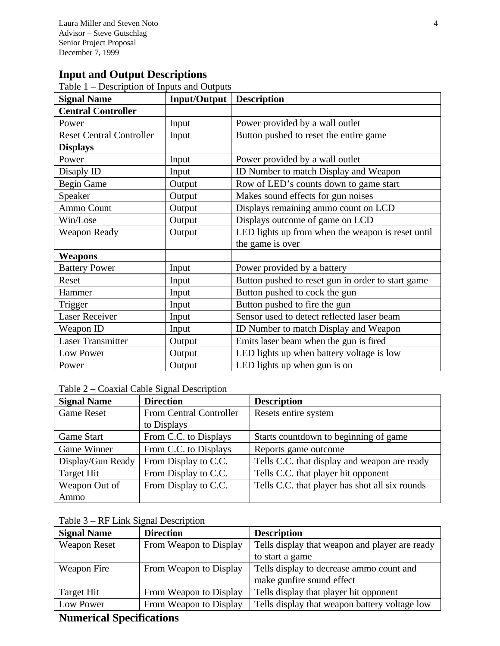# **Input and Output Descriptions**

Table 1 – Description of Inputs and Outputs

| <b>Signal Name</b>              | Input/Output | <b>Description</b>                                |
|---------------------------------|--------------|---------------------------------------------------|
| <b>Central Controller</b>       |              |                                                   |
| Power                           | Input        | Power provided by a wall outlet                   |
| <b>Reset Central Controller</b> | Input        | Button pushed to reset the entire game            |
| <b>Displays</b>                 |              |                                                   |
| Power                           | Input        | Power provided by a wall outlet                   |
| Disaply ID                      | Input        | ID Number to match Display and Weapon             |
| <b>Begin Game</b>               | Output       | Row of LED's counts down to game start            |
| Speaker                         | Output       | Makes sound effects for gun noises                |
| Ammo Count                      | Output       | Displays remaining ammo count on LCD              |
| Win/Lose                        | Output       | Displays outcome of game on LCD                   |
| <b>Weapon Ready</b>             | Output       | LED lights up from when the weapon is reset until |
|                                 |              | the game is over                                  |
| Weapons                         |              |                                                   |
| <b>Battery Power</b>            | Input        | Power provided by a battery                       |
| Reset                           | Input        | Button pushed to reset gun in order to start game |
| Hammer                          | Input        | Button pushed to cock the gun                     |
| Trigger                         | Input        | Button pushed to fire the gun                     |
| <b>Laser Receiver</b>           | Input        | Sensor used to detect reflected laser beam        |
| Weapon ID                       | Input        | ID Number to match Display and Weapon             |
| <b>Laser Transmitter</b>        | Output       | Emits laser beam when the gun is fired            |
| Low Power                       | Output       | LED lights up when battery voltage is low         |
| Power                           | Output       | LED lights up when gun is on                      |

### Table 2 – Coaxial Cable Signal Description

| <b>Signal Name</b> | <b>Direction</b>        | <b>Description</b>                             |
|--------------------|-------------------------|------------------------------------------------|
| <b>Game Reset</b>  | From Central Controller | Resets entire system                           |
|                    | to Displays             |                                                |
| Game Start         | From C.C. to Displays   | Starts countdown to beginning of game          |
| Game Winner        | From C.C. to Displays   | Reports game outcome                           |
| Display/Gun Ready  | From Display to C.C.    | Tells C.C. that display and weapon are ready   |
| Target Hit         | From Display to C.C.    | Tells C.C. that player hit opponent            |
| Weapon Out of      | From Display to C.C.    | Tells C.C. that player has shot all six rounds |
| Ammo               |                         |                                                |

### Table 3 – RF Link Signal Description

| <b>Signal Name</b>  | <b>Direction</b>       | <b>Description</b>                             |
|---------------------|------------------------|------------------------------------------------|
| <b>Weapon Reset</b> | From Weapon to Display | Tells display that weapon and player are ready |
|                     |                        | to start a game                                |
| Weapon Fire         | From Weapon to Display | Tells display to decrease ammo count and       |
|                     |                        | make gunfire sound effect                      |
| Target Hit          | From Weapon to Display | Tells display that player hit opponent         |
| Low Power           | From Weapon to Display | Tells display that weapon battery voltage low  |

# **Numerical Specifications**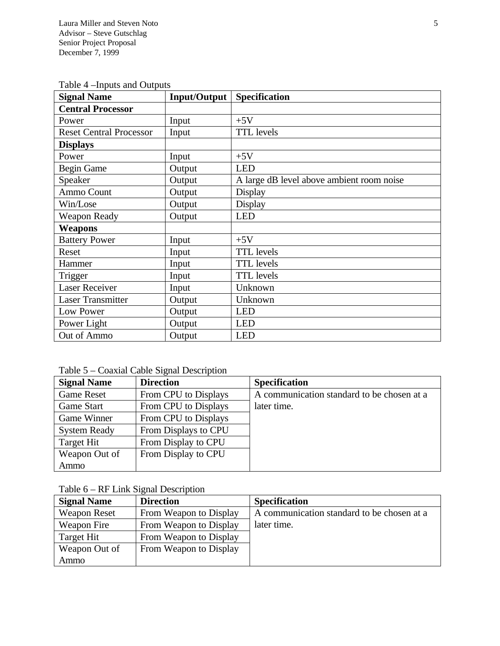| <b>Signal Name</b>             | <b>Input/Output</b> | Specification                             |
|--------------------------------|---------------------|-------------------------------------------|
| <b>Central Processor</b>       |                     |                                           |
| Power                          | Input               | $+5V$                                     |
| <b>Reset Central Processor</b> | Input               | <b>TTL</b> levels                         |
| <b>Displays</b>                |                     |                                           |
| Power                          | Input               | $+5V$                                     |
| <b>Begin Game</b>              | Output              | <b>LED</b>                                |
| Speaker                        | Output              | A large dB level above ambient room noise |
| Ammo Count                     | Output              | Display                                   |
| Win/Lose                       | Output              | Display                                   |
| <b>Weapon Ready</b>            | Output              | <b>LED</b>                                |
| Weapons                        |                     |                                           |
| <b>Battery Power</b>           | Input               | $+5V$                                     |
| Reset                          | Input               | <b>TTL</b> levels                         |
| Hammer                         | Input               | <b>TTL</b> levels                         |
| Trigger                        | Input               | <b>TTL</b> levels                         |
| <b>Laser Receiver</b>          | Input               | Unknown                                   |
| <b>Laser Transmitter</b>       | Output              | Unknown                                   |
| Low Power                      | Output              | <b>LED</b>                                |
| Power Light                    | Output              | <b>LED</b>                                |
| Out of Ammo                    | Output              | <b>LED</b>                                |

Table 4 –Inputs and Outputs

Table 5 – Coaxial Cable Signal Description

| <b>Signal Name</b>  | <b>Direction</b>     | <b>Specification</b>                       |
|---------------------|----------------------|--------------------------------------------|
| <b>Game Reset</b>   | From CPU to Displays | A communication standard to be chosen at a |
| Game Start          | From CPU to Displays | later time.                                |
| Game Winner         | From CPU to Displays |                                            |
| <b>System Ready</b> | From Displays to CPU |                                            |
| Target Hit          | From Display to CPU  |                                            |
| Weapon Out of       | From Display to CPU  |                                            |
| Ammo                |                      |                                            |

Table 6 – RF Link Signal Description

| <b>Signal Name</b>  | <b>Direction</b>       | <b>Specification</b>                       |
|---------------------|------------------------|--------------------------------------------|
| <b>Weapon Reset</b> | From Weapon to Display | A communication standard to be chosen at a |
| Weapon Fire         | From Weapon to Display | later time.                                |
| Target Hit          | From Weapon to Display |                                            |
| Weapon Out of       | From Weapon to Display |                                            |
| Ammo                |                        |                                            |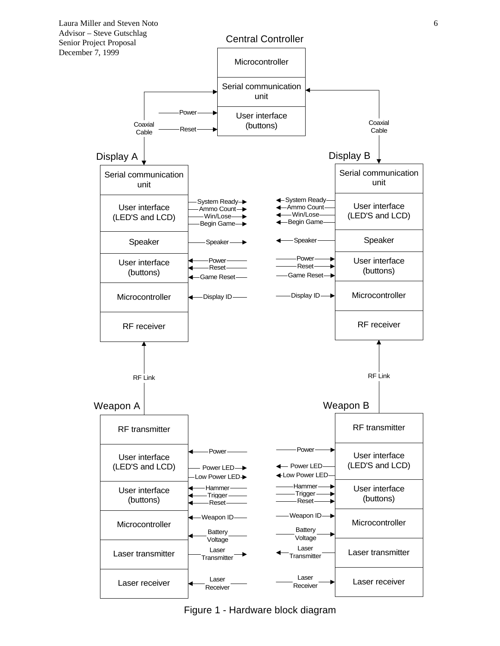

Figure 1 - Hardware block diagram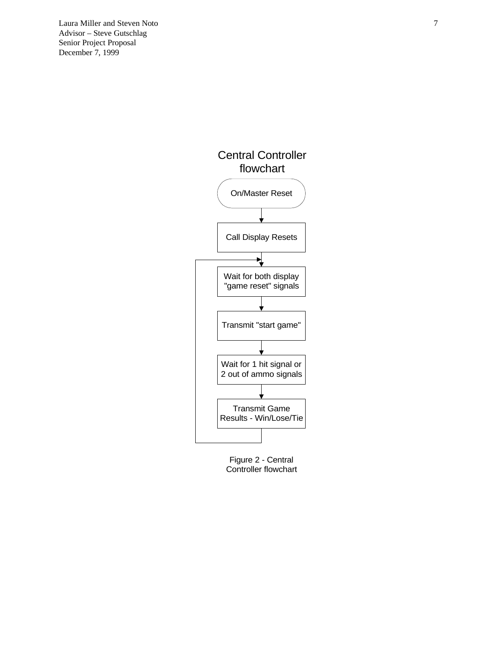Laura Miller and Steven Noto 7 Advisor – Steve Gutschlag Senior Project Proposal December 7, 1999





Figure 2 - Central Controller flowchart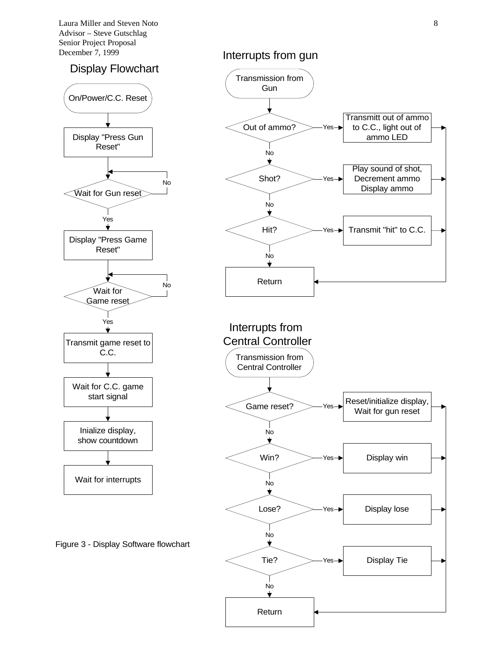Laura Miller and Steven Noto 8 Advisor – Steve Gutschlag Senior Project Proposal December 7, 1999

### Display Flowchart



Figure 3 - Display Software flowchart

### Interrupts from gun





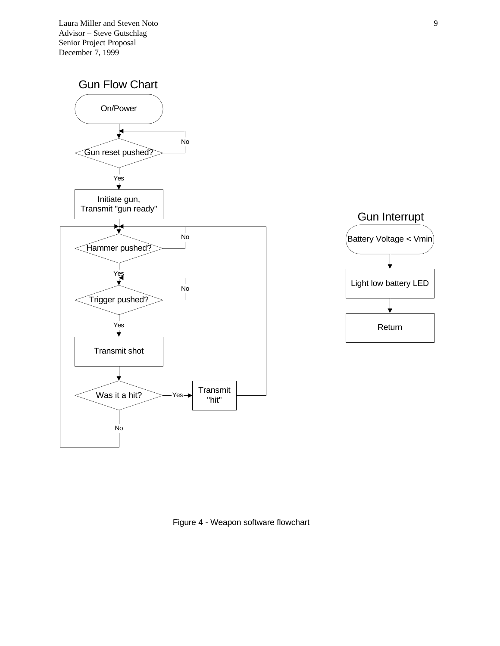Laura Miller and Steven Noto 9 Advisor – Steve Gutschlag Senior Project Proposal December 7, 1999





Figure 4 - Weapon software flowchart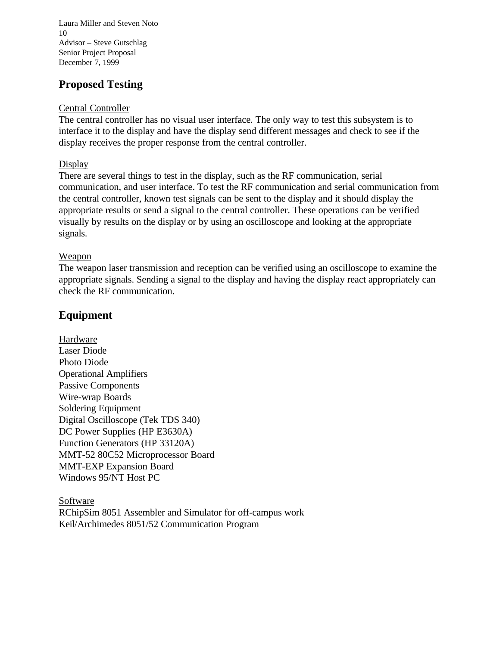Laura Miller and Steven Noto 10 Advisor – Steve Gutschlag Senior Project Proposal December 7, 1999

# **Proposed Testing**

### Central Controller

The central controller has no visual user interface. The only way to test this subsystem is to interface it to the display and have the display send different messages and check to see if the display receives the proper response from the central controller.

### **Display**

There are several things to test in the display, such as the RF communication, serial communication, and user interface. To test the RF communication and serial communication from the central controller, known test signals can be sent to the display and it should display the appropriate results or send a signal to the central controller. These operations can be verified visually by results on the display or by using an oscilloscope and looking at the appropriate signals.

### Weapon

The weapon laser transmission and reception can be verified using an oscilloscope to examine the appropriate signals. Sending a signal to the display and having the display react appropriately can check the RF communication.

## **Equipment**

Hardware Laser Diode Photo Diode Operational Amplifiers Passive Components Wire-wrap Boards Soldering Equipment Digital Oscilloscope (Tek TDS 340) DC Power Supplies (HP E3630A) Function Generators (HP 33120A) MMT-52 80C52 Microprocessor Board MMT-EXP Expansion Board Windows 95/NT Host PC

Software RChipSim 8051 Assembler and Simulator for off-campus work Keil/Archimedes 8051/52 Communication Program